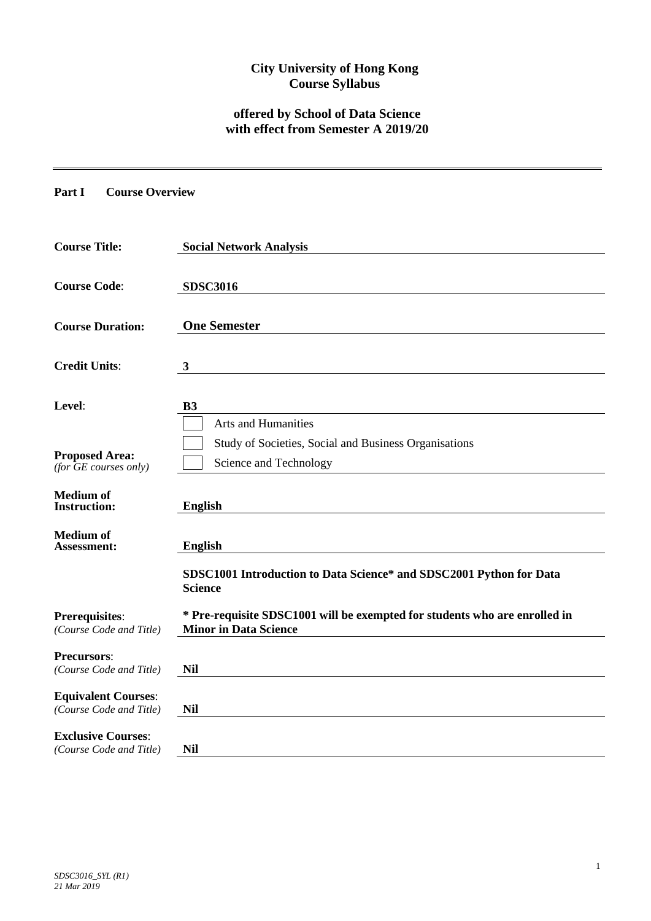## **City University of Hong Kong Course Syllabus**

# **offered by School of Data Science with effect from Semester A 2019/20**

### **Part I Course Overview**

| <b>Course Title:</b>                                  | <b>Social Network Analysis</b>                                                                             |
|-------------------------------------------------------|------------------------------------------------------------------------------------------------------------|
| <b>Course Code:</b>                                   | <b>SDSC3016</b>                                                                                            |
| <b>Course Duration:</b>                               | <b>One Semester</b>                                                                                        |
| <b>Credit Units:</b>                                  | $\mathbf{3}$                                                                                               |
| Level:                                                | <b>B3</b>                                                                                                  |
| <b>Proposed Area:</b><br>$(for$ $GE$ courses only)    | Arts and Humanities<br>Study of Societies, Social and Business Organisations<br>Science and Technology     |
| <b>Medium of</b><br><b>Instruction:</b>               | <b>English</b>                                                                                             |
| <b>Medium of</b><br><b>Assessment:</b>                | <b>English</b>                                                                                             |
|                                                       | SDSC1001 Introduction to Data Science* and SDSC2001 Python for Data<br><b>Science</b>                      |
| <b>Prerequisites:</b><br>(Course Code and Title)      | * Pre-requisite SDSC1001 will be exempted for students who are enrolled in<br><b>Minor in Data Science</b> |
| <b>Precursors:</b><br>(Course Code and Title)         | <b>Nil</b>                                                                                                 |
| <b>Equivalent Courses:</b><br>(Course Code and Title) | <b>Nil</b>                                                                                                 |
| <b>Exclusive Courses:</b><br>(Course Code and Title)  | <b>Nil</b>                                                                                                 |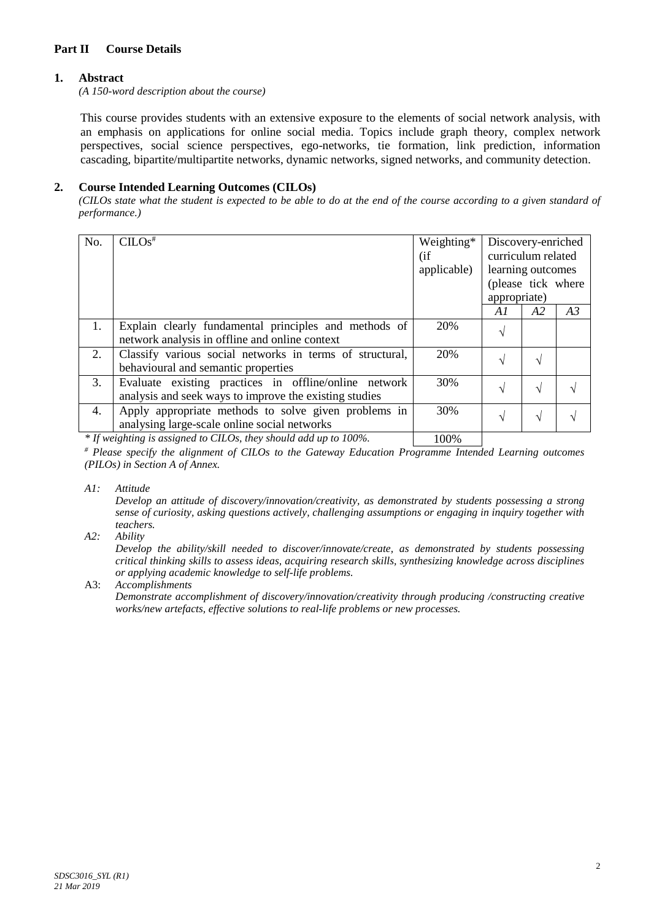## **Part II Course Details**

## **1. Abstract**

*(A 150-word description about the course)*

This course provides students with an extensive exposure to the elements of social network analysis, with an emphasis on applications for online social media. Topics include graph theory, complex network perspectives, social science perspectives, ego-networks, tie formation, link prediction, information cascading, bipartite/multipartite networks, dynamic networks, signed networks, and community detection.

### **2. Course Intended Learning Outcomes (CILOs)**

*(CILOs state what the student is expected to be able to do at the end of the course according to a given standard of performance.)*

| No. | CLOS <sup>#</sup>                                                                                               |       | Discovery-enriched<br>curriculum related<br>learning outcomes<br>(please tick where<br>appropriate) |    |    |
|-----|-----------------------------------------------------------------------------------------------------------------|-------|-----------------------------------------------------------------------------------------------------|----|----|
|     |                                                                                                                 |       | A1                                                                                                  | A2 | A3 |
| 1.  | Explain clearly fundamental principles and methods of<br>network analysis in offline and online context         | 20%   | V                                                                                                   |    |    |
| 2.  | Classify various social networks in terms of structural,<br>behavioural and semantic properties                 | 20%   | V                                                                                                   |    |    |
| 3.  | Evaluate existing practices in offline/online network<br>analysis and seek ways to improve the existing studies | 30%   | $\sqrt{}$                                                                                           |    |    |
| 4.  | Apply appropriate methods to solve given problems in<br>analysing large-scale online social networks            | 30%   | $\sqrt{}$                                                                                           |    |    |
|     | $\star$ IC $\cdot$ 1. To $\sim$ 1. To $\sim$ 1. IIIII 1. IOOOL                                                  | 10001 |                                                                                                     |    |    |

*\* If weighting is assigned to CILOs, they should add up to 100%.* | 100%

*# Please specify the alignment of CILOs to the Gateway Education Programme Intended Learning outcomes (PILOs) in Section A of Annex.* 

*A1: Attitude* 

*Develop an attitude of discovery/innovation/creativity, as demonstrated by students possessing a strong sense of curiosity, asking questions actively, challenging assumptions or engaging in inquiry together with teachers.*

*A2: Ability*

*Develop the ability/skill needed to discover/innovate/create, as demonstrated by students possessing critical thinking skills to assess ideas, acquiring research skills, synthesizing knowledge across disciplines or applying academic knowledge to self-life problems.*

A3: *Accomplishments*

*Demonstrate accomplishment of discovery/innovation/creativity through producing /constructing creative works/new artefacts, effective solutions to real-life problems or new processes.*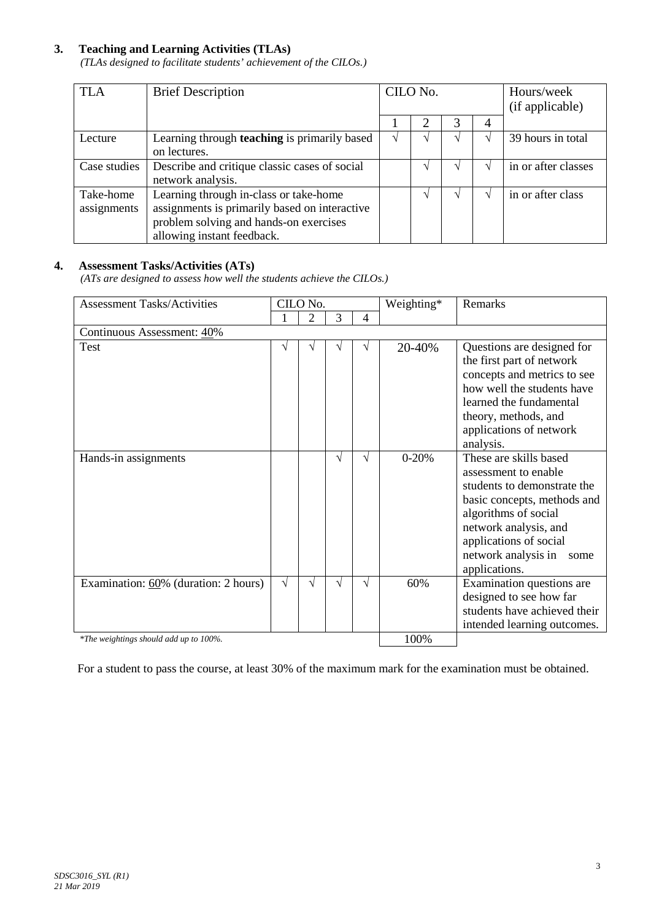### **3. Teaching and Learning Activities (TLAs)**

*(TLAs designed to facilitate students' achievement of the CILOs.)*

| <b>TLA</b>   | <b>Brief Description</b>                      |  | CILO No. |  | Hours/week      |                     |
|--------------|-----------------------------------------------|--|----------|--|-----------------|---------------------|
|              |                                               |  |          |  | (if applicable) |                     |
|              |                                               |  |          |  | 4               |                     |
| Lecture      | Learning through teaching is primarily based  |  |          |  |                 | 39 hours in total   |
|              | on lectures.                                  |  |          |  |                 |                     |
| Case studies | Describe and critique classic cases of social |  |          |  |                 | in or after classes |
|              | network analysis.                             |  |          |  |                 |                     |
| Take-home    | Learning through in-class or take-home        |  |          |  |                 | in or after class   |
| assignments  | assignments is primarily based on interactive |  |          |  |                 |                     |
|              | problem solving and hands-on exercises        |  |          |  |                 |                     |
|              | allowing instant feedback.                    |  |          |  |                 |                     |

## **4. Assessment Tasks/Activities (ATs)**

*(ATs are designed to assess how well the students achieve the CILOs.)*

| <b>Assessment Tasks/Activities</b>     |           | CILO No. |   |   | Weighting* | <b>Remarks</b>                                                                                                                                                                                                                          |  |  |
|----------------------------------------|-----------|----------|---|---|------------|-----------------------------------------------------------------------------------------------------------------------------------------------------------------------------------------------------------------------------------------|--|--|
|                                        |           | 2        | 3 | 4 |            |                                                                                                                                                                                                                                         |  |  |
| Continuous Assessment: 40%             |           |          |   |   |            |                                                                                                                                                                                                                                         |  |  |
| Test                                   | V         |          |   | V | 20-40%     | Questions are designed for<br>the first part of network<br>concepts and metrics to see<br>how well the students have<br>learned the fundamental<br>theory, methods, and<br>applications of network<br>analysis.                         |  |  |
| Hands-in assignments                   |           |          | N | V | $0 - 20%$  | These are skills based<br>assessment to enable<br>students to demonstrate the<br>basic concepts, methods and<br>algorithms of social<br>network analysis, and<br>applications of social<br>network analysis in<br>some<br>applications. |  |  |
| Examination: 60% (duration: 2 hours)   | $\sqrt{}$ | V        | V | V | 60%        | Examination questions are<br>designed to see how far<br>students have achieved their<br>intended learning outcomes.                                                                                                                     |  |  |
| *The weightings should add up to 100%. |           |          |   |   | 100%       |                                                                                                                                                                                                                                         |  |  |

For a student to pass the course, at least 30% of the maximum mark for the examination must be obtained.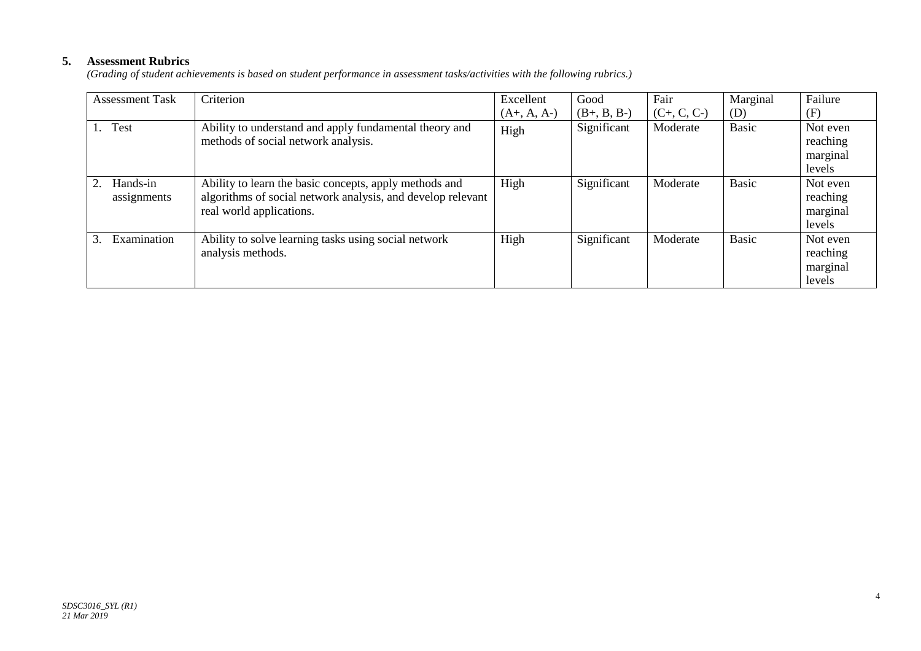## **5. Assessment Rubrics**

*(Grading of student achievements is based on student performance in assessment tasks/activities with the following rubrics.)*

| <b>Assessment Task</b>       | Criterion                                                                                                                                         | Excellent     | Good          | Fair          | Marginal     | Failure                                    |
|------------------------------|---------------------------------------------------------------------------------------------------------------------------------------------------|---------------|---------------|---------------|--------------|--------------------------------------------|
|                              |                                                                                                                                                   | $(A+, A, A-)$ | $(B+, B, B-)$ | $(C+, C, C-)$ | (D)          | (F)                                        |
| <b>Test</b><br>1.            | Ability to understand and apply fundamental theory and<br>methods of social network analysis.                                                     | High          | Significant   | Moderate      | <b>Basic</b> | Not even<br>reaching<br>marginal<br>levels |
| Hands-in<br>assignments      | Ability to learn the basic concepts, apply methods and<br>algorithms of social network analysis, and develop relevant<br>real world applications. | High          | Significant   | Moderate      | <b>Basic</b> | Not even<br>reaching<br>marginal<br>levels |
| Examination<br>$\mathcal{E}$ | Ability to solve learning tasks using social network<br>analysis methods.                                                                         | High          | Significant   | Moderate      | <b>Basic</b> | Not even<br>reaching<br>marginal<br>levels |